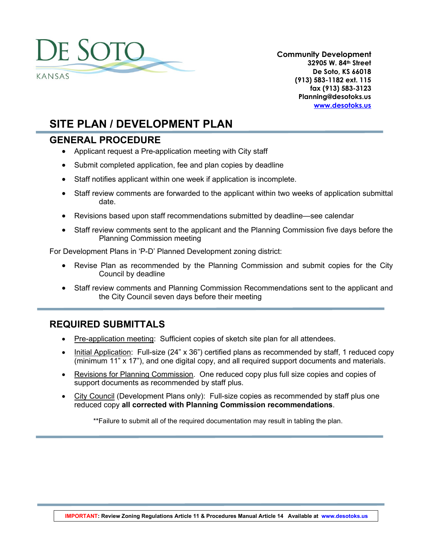

**Community Development 32905 W. 84th Street De Soto, KS 66018 (913) 583-1182 ext. 115 fax (913) 583-3123 Planning@desotoks.us [www.desotoks.us](http://www.desotoks.us/)**

# **SITE PLAN / DEVELOPMENT PLAN**

### **GENERAL PROCEDURE**

- Applicant request a Pre-application meeting with City staff
- Submit completed application, fee and plan copies by deadline
- Staff notifies applicant within one week if application is incomplete.
- Staff review comments are forwarded to the applicant within two weeks of application submittal date.
- Revisions based upon staff recommendations submitted by deadline—see calendar
- Staff review comments sent to the applicant and the Planning Commission five days before the Planning Commission meeting

For Development Plans in 'P-D' Planned Development zoning district:

- Revise Plan as recommended by the Planning Commission and submit copies for the City Council by deadline
- Staff review comments and Planning Commission Recommendations sent to the applicant and the City Council seven days before their meeting

## **REQUIRED SUBMITTALS**

- Pre-application meeting: Sufficient copies of sketch site plan for all attendees.
- Initial Application: Full-size (24" x 36") certified plans as recommended by staff, 1 reduced copy (minimum 11" x 17"), and one digital copy, and all required support documents and materials.
- Revisions for Planning Commission. One reduced copy plus full size copies and copies of support documents as recommended by staff plus.
- City Council (Development Plans only): Full-size copies as recommended by staff plus one reduced copy **all corrected with Planning Commission recommendations**.

\*\*Failure to submit all of the required documentation may result in tabling the plan.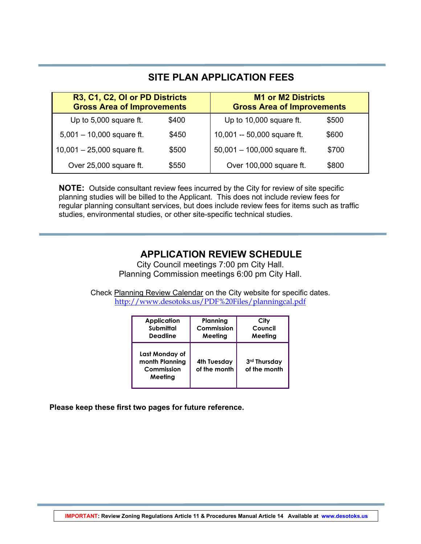| SITE PLAN APPLICATION FEES                                          |       |                                                                |       |  |
|---------------------------------------------------------------------|-------|----------------------------------------------------------------|-------|--|
| R3, C1, C2, OI or PD Districts<br><b>Gross Area of Improvements</b> |       | <b>M1 or M2 Districts</b><br><b>Gross Area of Improvements</b> |       |  |
| Up to 5,000 square ft.                                              | \$400 | Up to 10,000 square ft.                                        | \$500 |  |
| $5,001 - 10,000$ square ft.                                         | \$450 | 10,001 -- 50,000 square ft.                                    | \$600 |  |
| $10,001 - 25,000$ square ft.                                        | \$500 | $50,001 - 100,000$ square ft.                                  | \$700 |  |
| Over 25,000 square ft.                                              | \$550 | Over 100,000 square ft.                                        | \$800 |  |

**NOTE:** Outside consultant review fees incurred by the City for review of site specific planning studies will be billed to the Applicant. This does not include review fees for regular planning consultant services, but does include review fees for items such as traffic studies, environmental studies, or other site-specific technical studies.

## **APPLICATION REVIEW SCHEDULE**

City Council meetings 7:00 pm City Hall. Planning Commission meetings 6:00 pm City Hall.

Check Planning Review Calendar on the City website for specific dates. <http://www.desotoks.us/PDF%20Files/planningcal.pdf>

| <b>Application</b>                                        | Planning                    | City                         |
|-----------------------------------------------------------|-----------------------------|------------------------------|
| Submittal                                                 | Commission                  | Council                      |
| <b>Deadline</b>                                           | Meeting                     | Meeting                      |
| Last Monday of<br>month Planning<br>Commission<br>Meeting | 4th Tuesday<br>of the month | 3rd Thursday<br>of the month |

**Please keep these first two pages for future reference.**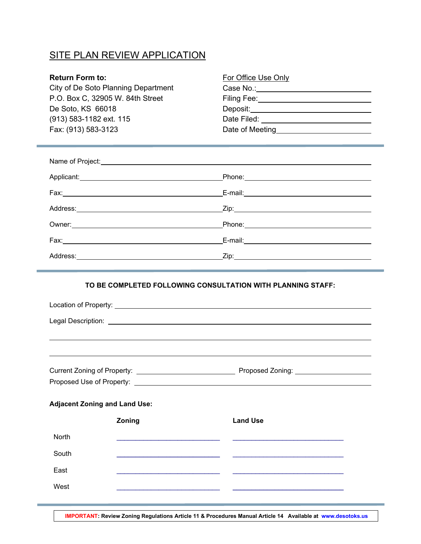## **SITE PLAN REVIEW APPLICATION**

#### **Return Form to:**

City of De Soto Planning Department P.O. Box C, 32905 W. 84th Street De Soto, KS 66018 (913) 583-1182 ext. 115 Fax: (913) 583-3123 Date of Meeting of Meeting D

| E-mail: E-mail: E-mail: E-mail: E-mail: E-mail: E-mail: E-mail: E-mail: E-mail: E-mail: E-mail: E-mail: E-mail: E-mail: E-mail: E-mail: E-mail: E-mail: E-mail: E-mail: E-mail: E-mail: E-mail: E-mail: E-mail: E-mail: E-mail |
|--------------------------------------------------------------------------------------------------------------------------------------------------------------------------------------------------------------------------------|
|                                                                                                                                                                                                                                |

#### **TO BE COMPLETED FOLLOWING CONSULTATION WITH PLANNING STAFF:**

|                                      |        | Proposed Use of Property: <u>Contract Community of Section 2008</u> |  |
|--------------------------------------|--------|---------------------------------------------------------------------|--|
| <b>Adjacent Zoning and Land Use:</b> |        |                                                                     |  |
|                                      | Zoning | <b>Land Use</b>                                                     |  |
| <b>North</b>                         |        |                                                                     |  |
| South                                |        |                                                                     |  |
| East                                 |        |                                                                     |  |
| West                                 |        |                                                                     |  |
|                                      |        |                                                                     |  |

**IMPORTANT: Review Zoning Regulations Article 11 & Procedures Manual Article 14 Available at www.desotoks.us**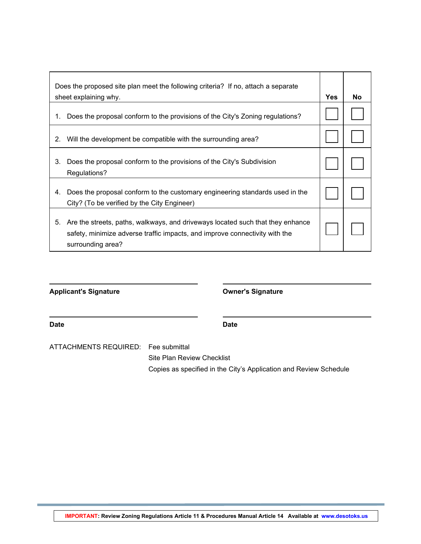|    | Does the proposed site plan meet the following criteria? If no, attach a separate                                                                                                  |            |    |
|----|------------------------------------------------------------------------------------------------------------------------------------------------------------------------------------|------------|----|
|    | sheet explaining why.                                                                                                                                                              | <b>Yes</b> | No |
| 1. | Does the proposal conform to the provisions of the City's Zoning regulations?                                                                                                      |            |    |
| 2. | Will the development be compatible with the surrounding area?                                                                                                                      |            |    |
| 3. | Does the proposal conform to the provisions of the City's Subdivision<br>Regulations?                                                                                              |            |    |
| 4. | Does the proposal conform to the customary engineering standards used in the<br>City? (To be verified by the City Engineer)                                                        |            |    |
| 5. | Are the streets, paths, walkways, and driveways located such that they enhance<br>safety, minimize adverse traffic impacts, and improve connectivity with the<br>surrounding area? |            |    |

**Applicant's Signature Owner's Signature**

| Date | <b>Date</b> |
|------|-------------|
|      |             |

ATTACHMENTS REQUIRED: Fee submittal

Site Plan Review Checklist Copies as specified in the City's Application and Review Schedule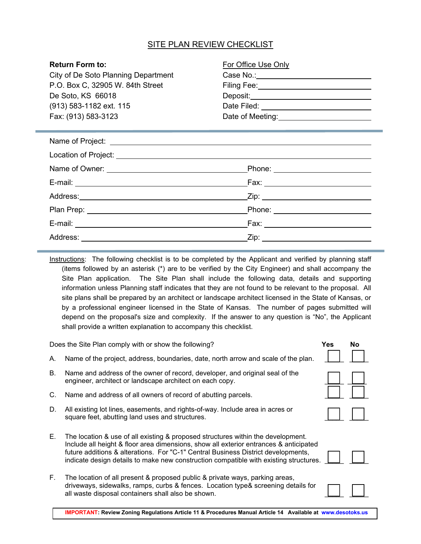#### SITE PLAN REVIEW CHECKLIST

| <b>Return Form to:</b>              | For Office Use Only                              |
|-------------------------------------|--------------------------------------------------|
| City of De Soto Planning Department |                                                  |
| P.O. Box C, 32905 W. 84th Street    | Filing Fee: ________________________________     |
| De Soto, KS 66018                   |                                                  |
| (913) 583-1182 ext. 115             |                                                  |
| Fax: (913) 583-3123                 | Date of Meeting: <u>________________________</u> |
|                                     |                                                  |
|                                     |                                                  |
|                                     |                                                  |
|                                     | _Phone: _________________________                |
|                                     | Fax: ______________________________              |
|                                     |                                                  |
|                                     | Phone: _________________________                 |
|                                     |                                                  |
|                                     |                                                  |

Instructions: The following checklist is to be completed by the Applicant and verified by planning staff (items followed by an asterisk (\*) are to be verified by the City Engineer) and shall accompany the Site Plan application. The Site Plan shall include the following data, details and supporting information unless Planning staff indicates that they are not found to be relevant to the proposal. All site plans shall be prepared by an architect or landscape architect licensed in the State of Kansas, or by a professional engineer licensed in the State of Kansas. The number of pages submitted will depend on the proposal's size and complexity. If the answer to any question is "No", the Applicant shall provide a written explanation to accompany this checklist.

Does the Site Plan comply with or show the following? **Yes No**

- A. Name of the project, address, boundaries, date, north arrow and scale of the plan.
- B. Name and address of the owner of record, developer, and original seal of the engineer, architect or landscape architect on each copy.
- C. Name and address of all owners of record of abutting parcels.
- D. All existing lot lines, easements, and rights-of-way. Include area in acres or square feet, abutting land uses and structures.
- E. The location & use of all existing & proposed structures within the development. Include all height & floor area dimensions, show all exterior entrances & anticipated future additions & alterations. For "C-1" Central Business District developments, indicate design details to make new construction compatible with existing structures.
- F. The location of all present & proposed public & private ways, parking areas, driveways, sidewalks, ramps, curbs & fences. Location type& screening details for all waste disposal containers shall also be shown.



**IMPORTANT: Review Zoning Regulations Article 11 & Procedures Manual Article 14 Available at www.desotoks.us**